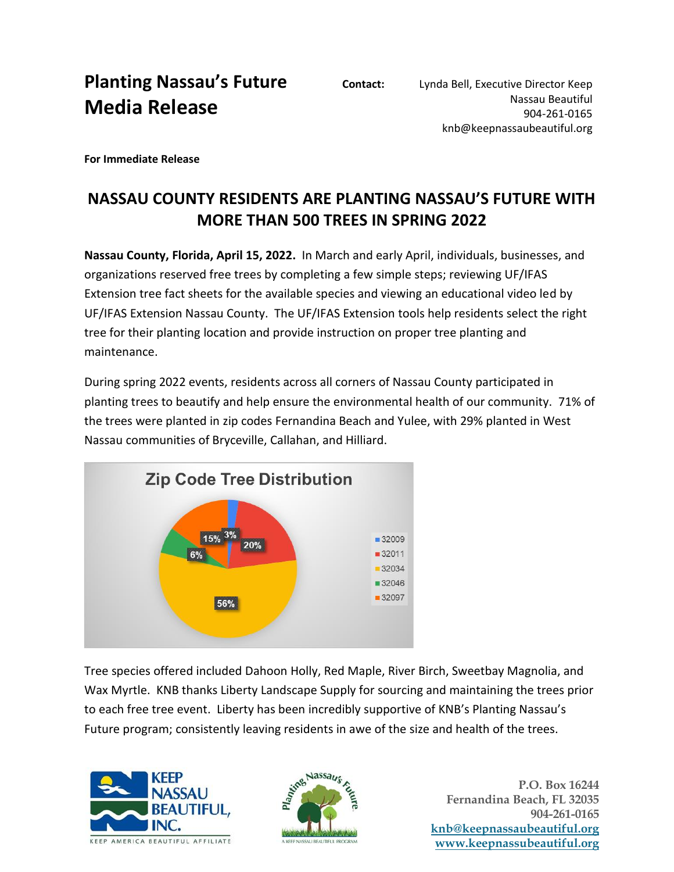## **Planting Nassau's Future Media Release**

**For Immediate Release**

## **NASSAU COUNTY RESIDENTS ARE PLANTING NASSAU'S FUTURE WITH MORE THAN 500 TREES IN SPRING 2022**

**Nassau County, Florida, April 15, 2022.** In March and early April, individuals, businesses, and organizations reserved free trees by completing a few simple steps; reviewing UF/IFAS Extension tree fact sheets for the available species and viewing an educational video led by UF/IFAS Extension Nassau County. The UF/IFAS Extension tools help residents select the right tree for their planting location and provide instruction on proper tree planting and maintenance.

During spring 2022 events, residents across all corners of Nassau County participated in planting trees to beautify and help ensure the environmental health of our community. 71% of the trees were planted in zip codes Fernandina Beach and Yulee, with 29% planted in West Nassau communities of Bryceville, Callahan, and Hilliard.



Tree species offered included Dahoon Holly, Red Maple, River Birch, Sweetbay Magnolia, and Wax Myrtle. KNB thanks Liberty Landscape Supply for sourcing and maintaining the trees prior to each free tree event. Liberty has been incredibly supportive of KNB's Planting Nassau's Future program; consistently leaving residents in awe of the size and health of the trees.





**P.O. Box 16244 Fernandina Beach, FL 32035 904-261-0165 [knb@keepnassaubeautiful.org](mailto:knb@keepnassaubeautiful.org) [www.keepnassubeautiful.org](http://www.keepnassubeautiful.org/)**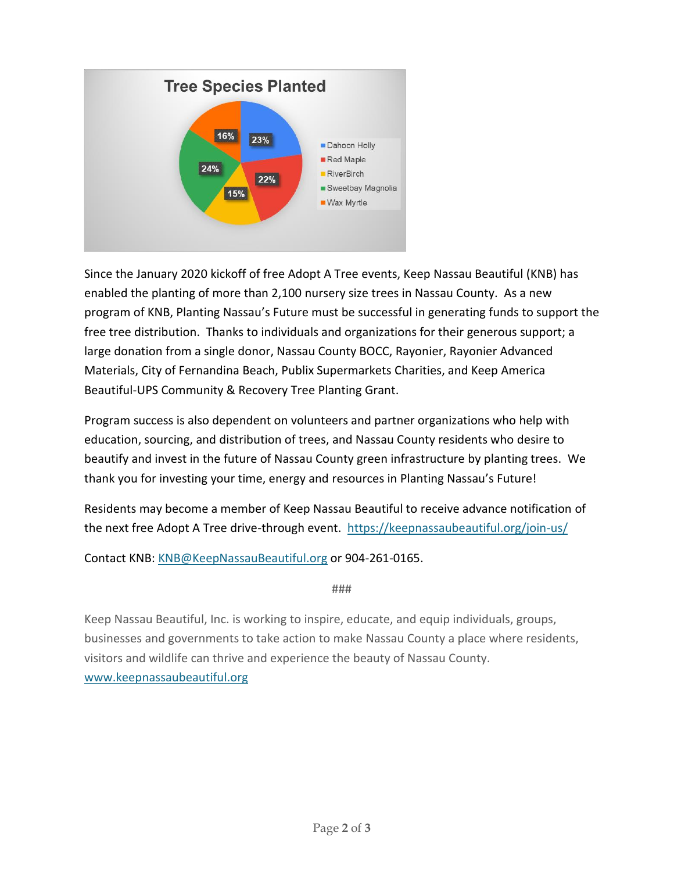

Since the January 2020 kickoff of free Adopt A Tree events, Keep Nassau Beautiful (KNB) has enabled the planting of more than 2,100 nursery size trees in Nassau County. As a new program of KNB, Planting Nassau's Future must be successful in generating funds to support the free tree distribution. Thanks to individuals and organizations for their generous support; a large donation from a single donor, Nassau County BOCC, Rayonier, Rayonier Advanced Materials, City of Fernandina Beach, Publix Supermarkets Charities, and Keep America Beautiful-UPS Community & Recovery Tree Planting Grant.

Program success is also dependent on volunteers and partner organizations who help with education, sourcing, and distribution of trees, and Nassau County residents who desire to beautify and invest in the future of Nassau County green infrastructure by planting trees. We thank you for investing your time, energy and resources in Planting Nassau's Future!

Residents may become a member of Keep Nassau Beautiful to receive advance notification of the next free Adopt A Tree drive-through event. <https://keepnassaubeautiful.org/join-us/>

Contact KNB: [KNB@KeepNassauBeautiful.org](mailto:KNB@KeepNassauBeautiful.org) or 904-261-0165.

###

Keep Nassau Beautiful, Inc. is working to inspire, educate, and equip individuals, groups, businesses and governments to take action to make Nassau County a place where residents, visitors and wildlife can thrive and experience the beauty of Nassau County. [www.keepnassaubeautiful.org](http://www.keepnassaubeautiful.org/)